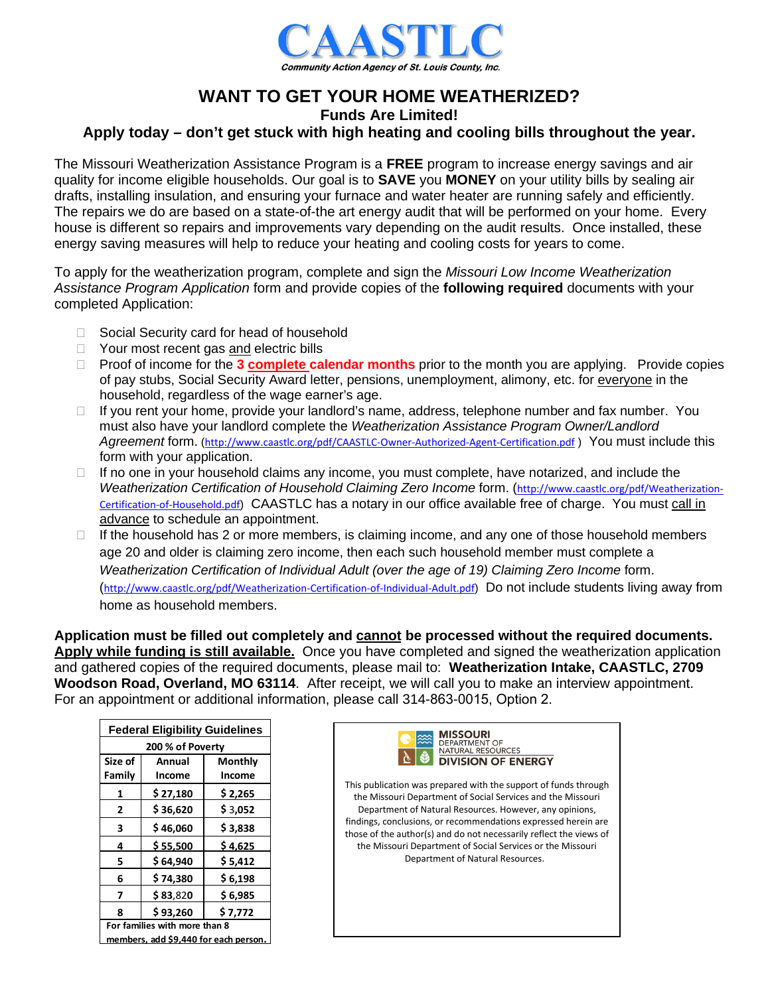

# **WANT TO GET YOUR HOME WEATHERIZED?**

**Funds Are Limited!** 

# **Apply today – don't get stuck with high heating and cooling bills throughout the year.**

The Missouri Weatherization Assistance Program is a **FREE** program to increase energy savings and air quality for income eligible households. Our goal is to **SAVE** you **MONEY** on your utility bills by sealing air drafts, installing insulation, and ensuring your furnace and water heater are running safely and efficiently. The repairs we do are based on a state-of-the art energy audit that will be performed on your home. Every house is different so repairs and improvements vary depending on the audit results. Once installed, these energy saving measures will help to reduce your heating and cooling costs for years to come.

To apply for the weatherization program, complete and sign the *Missouri Low Income Weatherization Assistance Program Application* form and provide copies of the **following required** documents with your completed Application:

- □ Social Security card for head of household
- □ Your most recent gas and electric bills
- □ Proof of income for the **3 complete calendar months** prior to the month you are applying. Provide copies of pay stubs, Social Security Award letter, pensions, unemployment, alimony, etc. for everyone in the household, regardless of the wage earner's age.
- □ If you rent your home, provide your landlord's name, address, telephone number and fax number. You must also have your landlord complete the *Weatherization Assistance Program Owner/Landlord Agreement* form. (<http://www.caastlc.org/pdf/CAASTLC-Owner-Authorized-Agent-Certification.pdf> ) You must include this form with your application.
- $\Box$  If no one in your household claims any income, you must complete, have notarized, and include the *Weatherization Certification of Household Claiming Zero Income* form. ([http://www.caastlc.org/pdf/Weatherization-](http://www.caastlc.org/pdf/Weatherization-Certification-of-Household.pdf)[Certification-of-Household.pdf](http://www.caastlc.org/pdf/Weatherization-Certification-of-Household.pdf)) CAASTLC has a notary in our office available free of charge. You must call in advance to schedule an appointment.
- $\Box$  If the household has 2 or more members, is claiming income, and any one of those household members age 20 and older is claiming zero income, then each such household member must complete a *Weatherization Certification of Individual Adult (over the age of 19) Claiming Zero Income form.* (<http://www.caastlc.org/pdf/Weatherization-Certification-of-Individual-Adult.pdf>) Do not include students living away from home as household members.

**Application must be filled out completely and cannot be processed without the required documents. Apply while funding is still available.** Once you have completed and signed the weatherization application and gathered copies of the required documents, please mail to: **Weatherization Intake, CAASTLC, 2709 Woodson Road, Overland, MO 63114**. After receipt, we will call you to make an interview appointment. For an appointment or additional information, please call 314-863-0015, Option 2.

| <b>Federal Eligibility Guidelines</b> |          |          |
|---------------------------------------|----------|----------|
| 200 % of Poverty                      |          |          |
| Size of                               | Annual   | Monthly  |
| Family                                | Income   | Income   |
| 1                                     | \$27,180 | \$ 2,265 |
| 2                                     | \$36,620 | \$3,052  |
| 3                                     | \$46,060 | \$3,838  |
| 4                                     | \$55.500 | \$4.625  |
| 5                                     | \$64,940 | \$5,412  |
| 6                                     | \$74.380 | \$ 6,198 |
| 7                                     | \$83,820 | \$6,985  |
| 8                                     | \$93,260 | \$7,772  |
| For families with more than 8         |          |          |
| members, add \$9,440 for each person. |          |          |

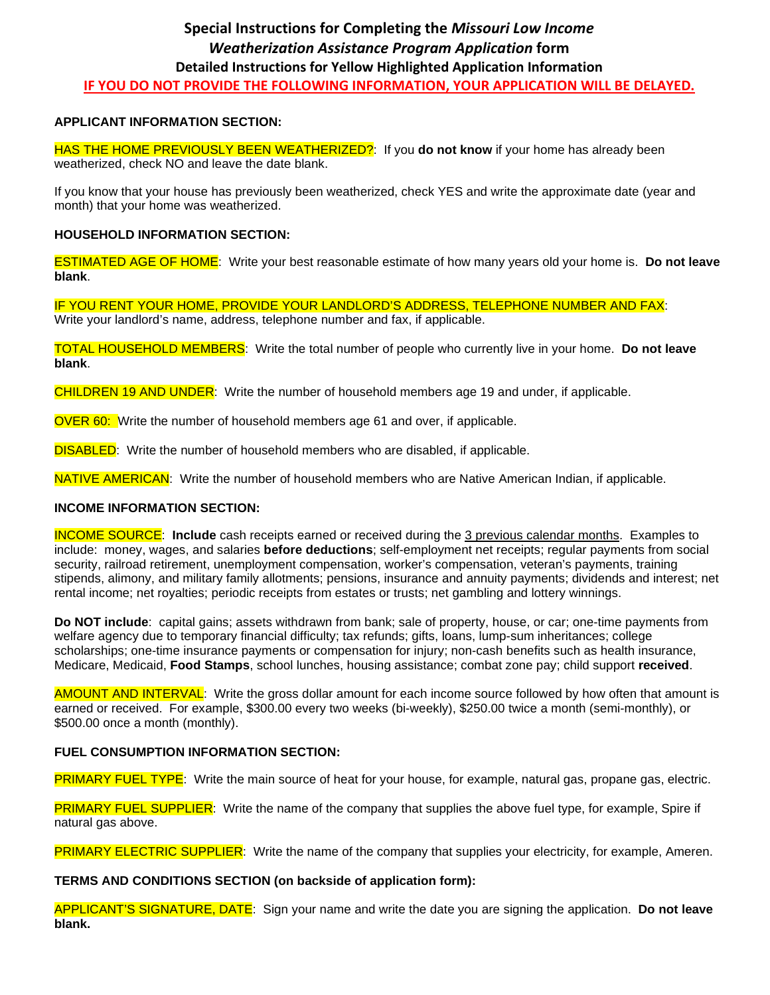## **APPLICANT INFORMATION SECTION:**

HAS THE HOME PREVIOUSLY BEEN WEATHERIZED?: If you **do not know** if your home has already been weatherized, check NO and leave the date blank.

If you know that your house has previously been weatherized, check YES and write the approximate date (year and month) that your home was weatherized.

## **HOUSEHOLD INFORMATION SECTION:**

ESTIMATED AGE OF HOME: Write your best reasonable estimate of how many years old your home is. **Do not leave blank**.

IF YOU RENT YOUR HOME, PROVIDE YOUR LANDLORD'S ADDRESS, TELEPHONE NUMBER AND FAX: Write your landlord's name, address, telephone number and fax, if applicable.

TOTAL HOUSEHOLD MEMBERS: Write the total number of people who currently live in your home. **Do not leave blank**.

CHILDREN 19 AND UNDER: Write the number of household members age 19 and under, if applicable.

OVER 60: Write the number of household members age 61 and over, if applicable.

**DISABLED:** Write the number of household members who are disabled, if applicable.

NATIVE AMERICAN: Write the number of household members who are Native American Indian, if applicable.

### **INCOME INFORMATION SECTION:**

INCOME SOURCE: **Include** cash receipts earned or received during the 3 previous calendar months. Examples to include: money, wages, and salaries **before deductions**; self-employment net receipts; regular payments from social security, railroad retirement, unemployment compensation, worker's compensation, veteran's payments, training stipends, alimony, and military family allotments; pensions, insurance and annuity payments; dividends and interest; net rental income; net royalties; periodic receipts from estates or trusts; net gambling and lottery winnings.

**Do NOT include**: capital gains; assets withdrawn from bank; sale of property, house, or car; one-time payments from welfare agency due to temporary financial difficulty; tax refunds; gifts, loans, lump-sum inheritances; college scholarships; one-time insurance payments or compensation for injury; non-cash benefits such as health insurance, Medicare, Medicaid, **Food Stamps**, school lunches, housing assistance; combat zone pay; child support **received**.

AMOUNT AND INTERVAL: Write the gross dollar amount for each income source followed by how often that amount is earned or received. For example, \$300.00 every two weeks (bi-weekly), \$250.00 twice a month (semi-monthly), or \$500.00 once a month (monthly).

### **FUEL CONSUMPTION INFORMATION SECTION:**

PRIMARY FUEL TYPE: Write the main source of heat for your house, for example, natural gas, propane gas, electric.

PRIMARY FUEL SUPPLIER: Write the name of the company that supplies the above fuel type, for example, Spire if natural gas above.

PRIMARY ELECTRIC SUPPLIER: Write the name of the company that supplies your electricity, for example, Ameren.

### **TERMS AND CONDITIONS SECTION (on backside of application form):**

APPLICANT'S SIGNATURE, DATE: Sign your name and write the date you are signing the application. **Do not leave blank.**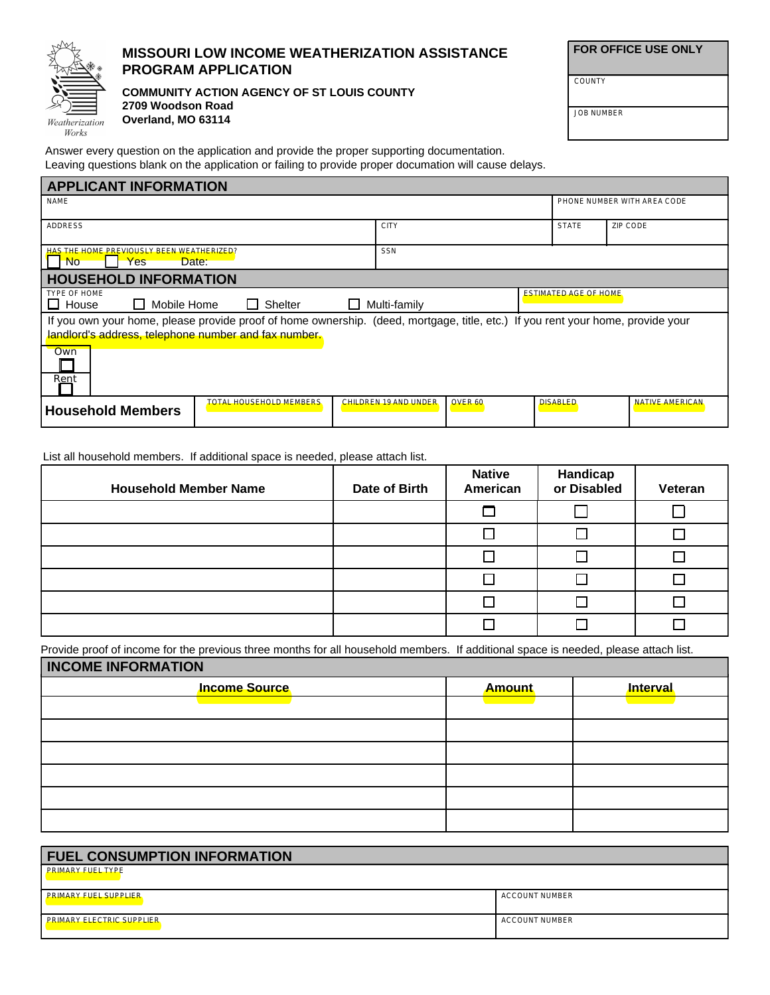

# **MISSOURI LOW INCOME WEATHERIZATION ASSISTANCE PROGRAM APPLICATION**

**COMMUNITY ACTION AGENCY OF ST LOUIS COUNTY 2709 Woodson Road Overland, MO 63114**

 **FOR OFFICE USE ONLY**

JOB NUMBER

**COUNTY** 

Answer every question on the application and provide the proper supporting documentation. Leaving questions blank on the application or failing to provide proper documation will cause delays.

| <b>APPLICANT INFORMATION</b>                                                                                                                                                            |                                                                                 |                       |         |                 |                             |
|-----------------------------------------------------------------------------------------------------------------------------------------------------------------------------------------|---------------------------------------------------------------------------------|-----------------------|---------|-----------------|-----------------------------|
| <b>NAME</b>                                                                                                                                                                             |                                                                                 |                       |         |                 | PHONE NUMBER WITH AREA CODE |
| <b>ADDRESS</b>                                                                                                                                                                          | <b>CITY</b>                                                                     |                       |         | <b>STATE</b>    | ZIP CODE                    |
| HAS THE HOME PREVIOUSLY BEEN WEATHERIZED?<br><b>No</b><br>Yes<br>Date:                                                                                                                  |                                                                                 | <b>SSN</b>            |         |                 |                             |
| <b>HOUSEHOLD INFORMATION</b>                                                                                                                                                            |                                                                                 |                       |         |                 |                             |
| TYPE OF HOME<br>$\mathsf{L}$<br>House                                                                                                                                                   | <b>ESTIMATED AGE OF HOME</b><br>Mobile Home<br><b>□ Shelter</b><br>Multi-family |                       |         |                 |                             |
| If you own your home, please provide proof of home ownership. (deed, mortgage, title, etc.) If you rent your home, provide your<br>landlord's address, telephone number and fax number. |                                                                                 |                       |         |                 |                             |
| <b>Own</b>                                                                                                                                                                              |                                                                                 |                       |         |                 |                             |
| Rent                                                                                                                                                                                    |                                                                                 |                       |         |                 |                             |
| <b>Household Members</b>                                                                                                                                                                | <b>TOTAL HOUSEHOLD MEMBERS</b>                                                  | CHILDREN 19 AND UNDER | OVER 60 | <b>DISABLED</b> | <b>NATIVE AMERICAN</b>      |

List all household members. If additional space is needed, please attach list.

| <b>Household Member Name</b> | Date of Birth | <b>Native</b><br>American | <b>Handicap</b><br>or Disabled | Veteran |
|------------------------------|---------------|---------------------------|--------------------------------|---------|
|                              |               | ┍                         |                                |         |
|                              |               |                           |                                |         |
|                              |               |                           |                                |         |
|                              |               |                           |                                |         |
|                              |               |                           |                                |         |
|                              |               |                           |                                |         |

Provide proof of income for the previous three months for all household members. If additional space is needed, please attach list.

| <b>INCOME INFORMATION</b> |               |          |  |
|---------------------------|---------------|----------|--|
| <b>Income Source</b>      | <b>Amount</b> | Interval |  |
|                           |               |          |  |
|                           |               |          |  |
|                           |               |          |  |
|                           |               |          |  |
|                           |               |          |  |
|                           |               |          |  |

| <b>FUEL CONSUMPTION INFORMATION</b> |                       |
|-------------------------------------|-----------------------|
| <b>PRIMARY FUEL TYPE</b>            |                       |
| <b>PRIMARY FUEL SUPPLIER</b>        | ACCOUNT NUMBER        |
| <b>PRIMARY ELECTRIC SUPPLIER</b>    | <b>ACCOUNT NUMBER</b> |